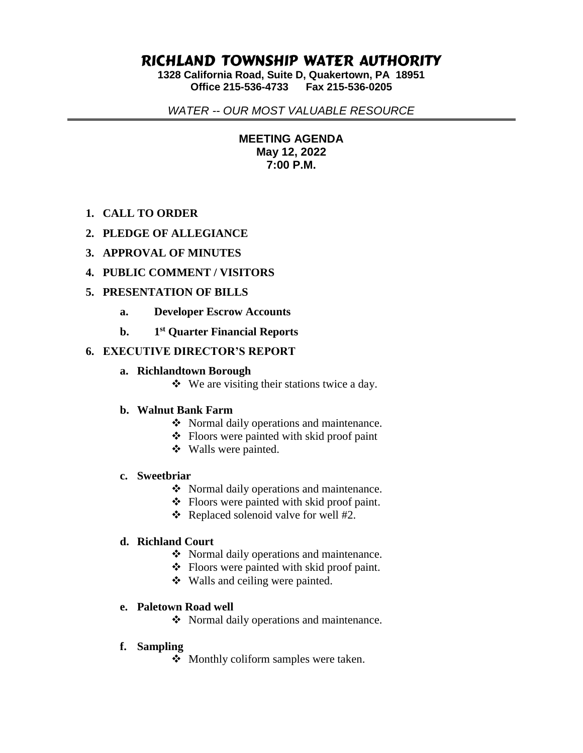# RICHLAND TOWNSHIP WATER AUTHORITY

**1328 California Road, Suite D, Quakertown, PA 18951 Office 215-536-4733 Fax 215-536-0205**

*WATER -- OUR MOST VALUABLE RESOURCE*

**MEETING AGENDA May 12, 2022 7:00 P.M.**

# **1. CALL TO ORDER**

- **2. PLEDGE OF ALLEGIANCE**
- **3. APPROVAL OF MINUTES**
- **4. PUBLIC COMMENT / VISITORS**

## **5. PRESENTATION OF BILLS**

- **a. Developer Escrow Accounts**
- **b. 1 st Quarter Financial Reports**

## **6. EXECUTIVE DIRECTOR'S REPORT**

#### **a. Richlandtown Borough**

 $\triangleleft$  We are visiting their stations twice a day.

## **b. Walnut Bank Farm**

- ❖ Normal daily operations and maintenance.
- ❖ Floors were painted with skid proof paint
- Walls were painted.

#### **c. Sweetbriar**

- Normal daily operations and maintenance.
- Floors were painted with skid proof paint.
- $\triangleleft$  Replaced solenoid valve for well #2.

#### **d. Richland Court**

- Normal daily operations and maintenance.
- Floors were painted with skid proof paint.
- Walls and ceiling were painted.

## **e. Paletown Road well**

• Normal daily operations and maintenance.

## **f. Sampling**

• Monthly coliform samples were taken.